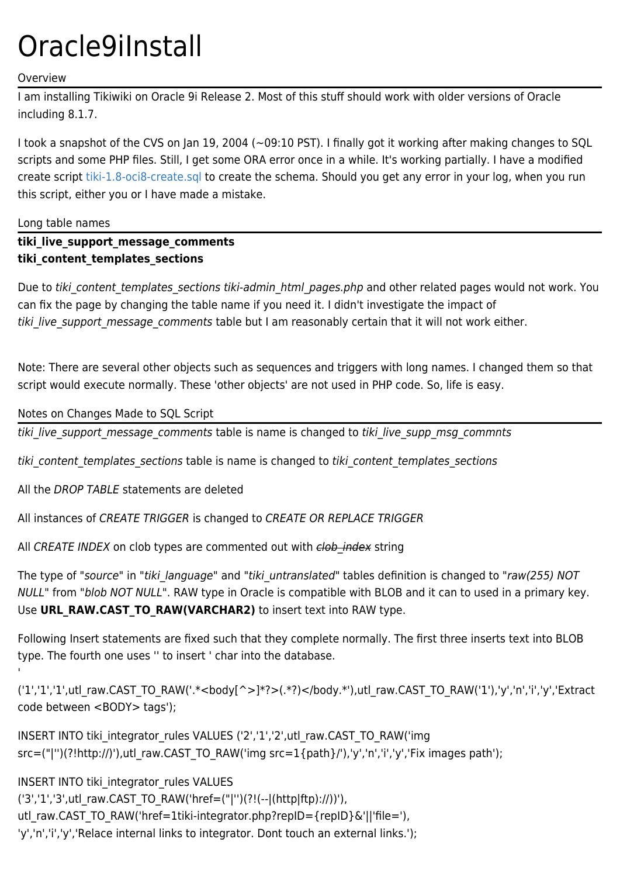# Oracle9iInstall

# Overview

I am installing Tikiwiki on Oracle 9i Release 2. Most of this stuff should work with older versions of Oracle including 8.1.7.

I took a snapshot of the CVS on Jan 19, 2004 (~09:10 PST). I finally got it working after making changes to SQL scripts and some PHP files. Still, I get some ORA error once in a while. It's working partially. I have a modified create script [tiki-1.8-oci8-create.sql](http://tikiwiki.org/tiki-download_wiki_attachment.php?attId=161) to create the schema. Should you get any error in your log, when you run this script, either you or I have made a mistake.

# Long table names

# **tiki\_live\_support\_message\_comments tiki\_content\_templates\_sections**

Due to tiki content templates sections tiki-admin html pages.php and other related pages would not work. You can fix the page by changing the table name if you need it. I didn't investigate the impact of tiki live support message comments table but I am reasonably certain that it will not work either.

Note: There are several other objects such as sequences and triggers with long names. I changed them so that script would execute normally. These 'other objects' are not used in PHP code. So, life is easy.

# Notes on Changes Made to SQL Script

tiki live support message comments table is name is changed to tiki live supp msg commnts

tiki content templates sections table is name is changed to tiki content templates sections

All the DROP TABLE statements are deleted

All instances of CREATE TRIGGER is changed to CREATE OR REPLACE TRIGGER

All CREATE INDEX on clob types are commented out with clob index string

The type of "source" in "tiki language" and "tiki untranslated" tables definition is changed to "raw(255) NOT NULL" from "blob NOT NULL". RAW type in Oracle is compatible with BLOB and it can to used in a primary key. Use **URL\_RAW.CAST\_TO\_RAW(VARCHAR2)** to insert text into RAW type.

Following Insert statements are fixed such that they complete normally. The first three inserts text into BLOB type. The fourth one uses '' to insert ' char into the database.

('1','1','1',utl\_raw.CAST\_TO\_RAW('.\*<body[^>]\*?>(.\*?)</body.\*'),utl\_raw.CAST\_TO\_RAW('1'),'y','n','i','y','Extract code between <BODY> tags');

INSERT INTO tiki\_integrator\_rules VALUES ('2','1','2',utl\_raw.CAST\_TO\_RAW('img src=("|'')(?!http://)'),utl\_raw.CAST\_TO\_RAW('img src=1{path}/'),'y','n','i','y','Fix images path');

INSERT INTO tiki\_integrator\_rules VALUES ('3','1','3',utl\_raw.CAST\_TO\_RAW('href=("|'')(?!(--|(http|ftp)://))'), utl\_raw.CAST\_TO\_RAW('href=1tiki-integrator.php?repID={repID}&'||'file='), 'y','n','i','y','Relace internal links to integrator. Dont touch an external links.');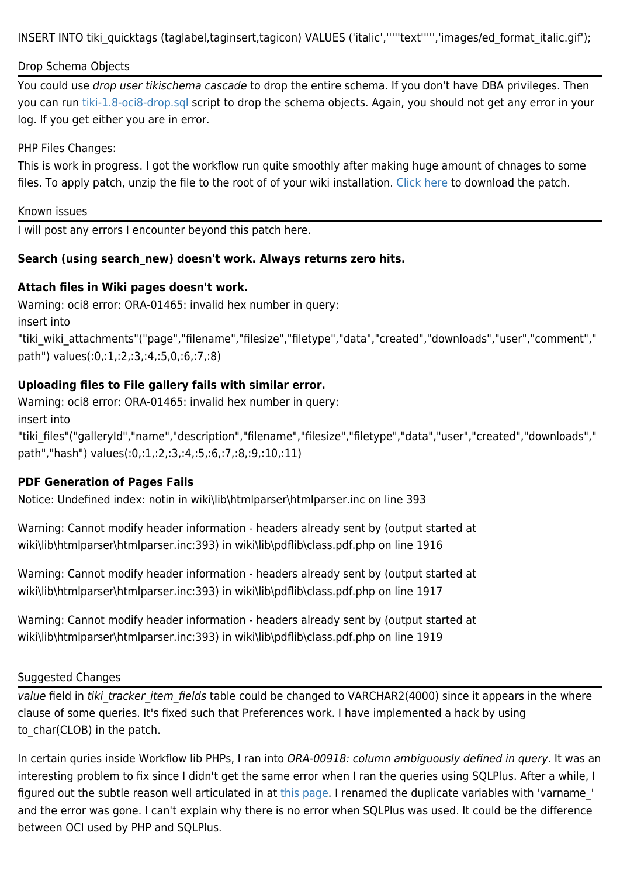INSERT INTO tiki\_quicktags (taglabel,taginsert,tagicon) VALUES ('italic','''''text''''','images/ed\_format\_italic.gif');

# Drop Schema Objects

You could use drop user tikischema cascade to drop the entire schema. If you don't have DBA privileges. Then you can run [tiki-1.8-oci8-drop.sql](http://tikiwiki.org/tiki-download_wiki_attachment.php?attId=161) script to drop the schema objects. Again, you should not get any error in your log. If you get either you are in error.

### PHP Files Changes:

This is work in progress. I got the workflow run quite smoothly after making huge amount of chnages to some files. To apply patch, unzip the file to the root of of your wiki installation. [Click here](http://tikiwiki.org/tiki-download_wiki_attachment.php?attId=164) to download the patch.

#### Known issues

I will post any errors I encounter beyond this patch here.

# **Search (using search\_new) doesn't work. Always returns zero hits.**

# **Attach files in Wiki pages doesn't work.**

Warning: oci8 error: ORA-01465: invalid hex number in query: insert into "tiki\_wiki\_attachments"("page","filename","filesize","filetype","data","created","downloads","user","comment"," path") values(:0,:1,:2,:3,:4,:5,0,:6,:7,:8)

# **Uploading files to File gallery fails with similar error.**

Warning: oci8 error: ORA-01465: invalid hex number in query:

insert into

"tiki\_files"("galleryId","name","description","filename","filesize","filetype","data","user","created","downloads"," path","hash") values(:0,:1,:2,:3,:4,:5,:6,:7,:8,:9,:10,:11)

# **PDF Generation of Pages Fails**

Notice: Undefined index: notin in wiki\lib\htmlparser\htmlparser.inc on line 393

Warning: Cannot modify header information - headers already sent by (output started at wiki\lib\htmlparser\htmlparser.inc:393) in wiki\lib\pdflib\class.pdf.php on line 1916

Warning: Cannot modify header information - headers already sent by (output started at wiki\lib\htmlparser\htmlparser.inc:393) in wiki\lib\pdflib\class.pdf.php on line 1917

Warning: Cannot modify header information - headers already sent by (output started at wiki\lib\htmlparser\htmlparser.inc:393) in wiki\lib\pdflib\class.pdf.php on line 1919

# Suggested Changes

value field in tiki tracker item fields table could be changed to VARCHAR2(4000) since it appears in the where clause of some queries. It's fixed such that Preferences work. I have implemented a hack by using to char(CLOB) in the patch.

In certain quries inside Workflow lib PHPs, I ran into ORA-00918: column ambiguously defined in query. It was an interesting problem to fix since I didn't get the same error when I ran the queries using SQLPlus. After a while, I figured out the subtle reason well articulated in at [this page](http://testdrive.mapinfo.com/TECHSUPP/MIPROD.NSF/0/8938773e6ced20a985256ac3005d344b?OpenDocument). I renamed the duplicate variables with 'varname\_' and the error was gone. I can't explain why there is no error when SQLPlus was used. It could be the difference between OCI used by PHP and SQLPlus.